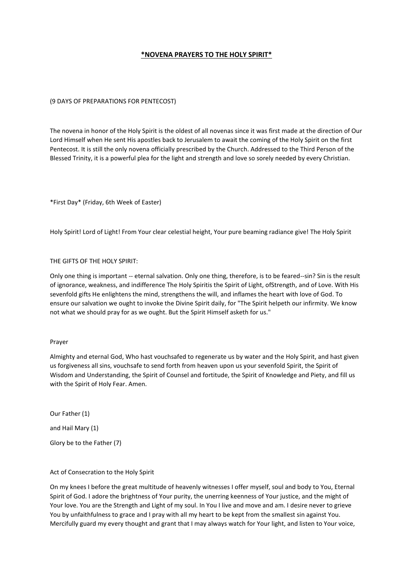# **\*NOVENA PRAYERS TO THE HOLY SPIRIT\***

## (9 DAYS OF PREPARATIONS FOR PENTECOST)

The novena in honor of the Holy Spirit is the oldest of all novenas since it was first made at the direction of Our Lord Himself when He sent His apostles back to Jerusalem to await the coming of the Holy Spirit on the first Pentecost. It is still the only novena officially prescribed by the Church. Addressed to the Third Person of the Blessed Trinity, it is a powerful plea for the light and strength and love so sorely needed by every Christian.

\*First Day\* (Friday, 6th Week of Easter)

Holy Spirit! Lord of Light! From Your clear celestial height, Your pure beaming radiance give! The Holy Spirit

### THE GIFTS OF THE HOLY SPIRIT:

Only one thing is important -- eternal salvation. Only one thing, therefore, is to be feared--sin? Sin is the result of ignorance, weakness, and indifference The Holy Spiritis the Spirit of Light, ofStrength, and of Love. With His sevenfold gifts He enlightens the mind, strengthens the will, and inflames the heart with love of God. To ensure our salvation we ought to invoke the Divine Spirit daily, for "The Spirit helpeth our infirmity. We know not what we should pray for as we ought. But the Spirit Himself asketh for us."

### Prayer

Almighty and eternal God, Who hast vouchsafed to regenerate us by water and the Holy Spirit, and hast given us forgiveness all sins, vouchsafe to send forth from heaven upon us your sevenfold Spirit, the Spirit of Wisdom and Understanding, the Spirit of Counsel and fortitude, the Spirit of Knowledge and Piety, and fill us with the Spirit of Holy Fear. Amen.

Our Father (1) and Hail Mary (1) Glory be to the Father (7)

### Act of Consecration to the Holy Spirit

On my knees I before the great multitude of heavenly witnesses I offer myself, soul and body to You, Eternal Spirit of God. I adore the brightness of Your purity, the unerring keenness of Your justice, and the might of Your love. You are the Strength and Light of my soul. In You I live and move and am. I desire never to grieve You by unfaithfulness to grace and I pray with all my heart to be kept from the smallest sin against You. Mercifully guard my every thought and grant that I may always watch for Your light, and listen to Your voice,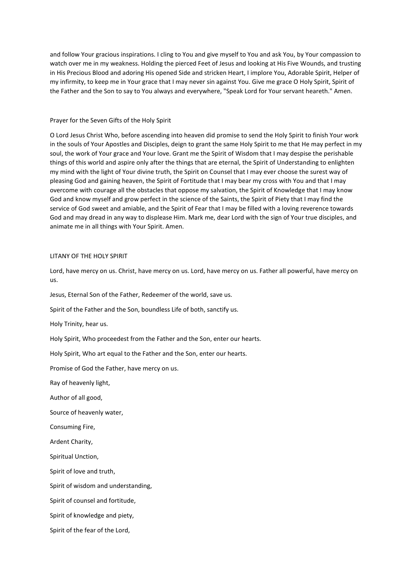and follow Your gracious inspirations. I cling to You and give myself to You and ask You, by Your compassion to watch over me in my weakness. Holding the pierced Feet of Jesus and looking at His Five Wounds, and trusting in His Precious Blood and adoring His opened Side and stricken Heart, I implore You, Adorable Spirit, Helper of my infirmity, to keep me in Your grace that I may never sin against You. Give me grace O Holy Spirit, Spirit of the Father and the Son to say to You always and everywhere, "Speak Lord for Your servant heareth." Amen.

### Prayer for the Seven Gifts of the Holy Spirit

O Lord Jesus Christ Who, before ascending into heaven did promise to send the Holy Spirit to finish Your work in the souls of Your Apostles and Disciples, deign to grant the same Holy Spirit to me that He may perfect in my soul, the work of Your grace and Your love. Grant me the Spirit of Wisdom that I may despise the perishable things of this world and aspire only after the things that are eternal, the Spirit of Understanding to enlighten my mind with the light of Your divine truth, the Spirit on Counsel that I may ever choose the surest way of pleasing God and gaining heaven, the Spirit of Fortitude that I may bear my cross with You and that I may overcome with courage all the obstacles that oppose my salvation, the Spirit of Knowledge that I may know God and know myself and grow perfect in the science of the Saints, the Spirit of Piety that I may find the service of God sweet and amiable, and the Spirit of Fear that I may be filled with a loving reverence towards God and may dread in any way to displease Him. Mark me, dear Lord with the sign of Your true disciples, and animate me in all things with Your Spirit. Amen.

### LITANY OF THE HOLY SPIRIT

Lord, have mercy on us. Christ, have mercy on us. Lord, have mercy on us. Father all powerful, have mercy on us.

Jesus, Eternal Son of the Father, Redeemer of the world, save us.

Spirit of the Father and the Son, boundless Life of both, sanctify us.

Holy Trinity, hear us.

Holy Spirit, Who proceedest from the Father and the Son, enter our hearts.

Holy Spirit, Who art equal to the Father and the Son, enter our hearts.

Promise of God the Father, have mercy on us.

Ray of heavenly light,

Author of all good,

Source of heavenly water,

Consuming Fire,

Ardent Charity,

Spiritual Unction,

Spirit of love and truth,

Spirit of wisdom and understanding,

Spirit of counsel and fortitude,

Spirit of knowledge and piety,

Spirit of the fear of the Lord,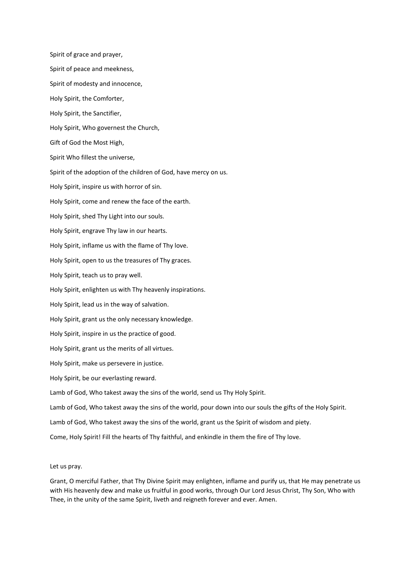Spirit of grace and prayer, Spirit of peace and meekness, Spirit of modesty and innocence, Holy Spirit, the Comforter, Holy Spirit, the Sanctifier, Holy Spirit, Who governest the Church, Gift of God the Most High, Spirit Who fillest the universe, Spirit of the adoption of the children of God, have mercy on us. Holy Spirit, inspire us with horror of sin. Holy Spirit, come and renew the face of the earth. Holy Spirit, shed Thy Light into our souls. Holy Spirit, engrave Thy law in our hearts. Holy Spirit, inflame us with the flame of Thy love. Holy Spirit, open to us the treasures of Thy graces. Holy Spirit, teach us to pray well. Holy Spirit, enlighten us with Thy heavenly inspirations. Holy Spirit, lead us in the way of salvation. Holy Spirit, grant us the only necessary knowledge. Holy Spirit, inspire in us the practice of good. Holy Spirit, grant us the merits of all virtues. Holy Spirit, make us persevere in justice. Holy Spirit, be our everlasting reward. Lamb of God, Who takest away the sins of the world, send us Thy Holy Spirit. Lamb of God, Who takest away the sins of the world, pour down into our souls the gifts of the Holy Spirit. Lamb of God, Who takest away the sins of the world, grant us the Spirit of wisdom and piety. Come, Holy Spirit! Fill the hearts of Thy faithful, and enkindle in them the fire of Thy love.

Let us pray.

Grant, O merciful Father, that Thy Divine Spirit may enlighten, inflame and purify us, that He may penetrate us with His heavenly dew and make us fruitful in good works, through Our Lord Jesus Christ, Thy Son, Who with Thee, in the unity of the same Spirit, liveth and reigneth forever and ever. Amen.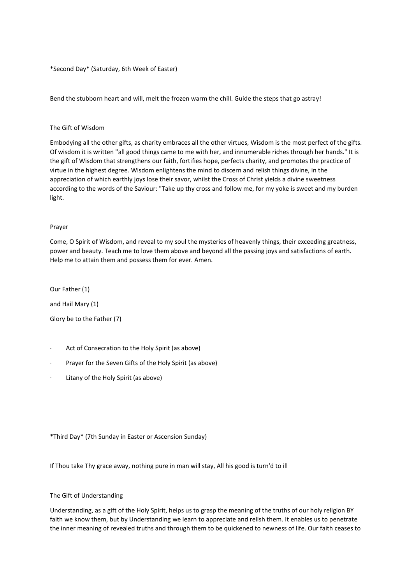\*Second Day\* (Saturday, 6th Week of Easter)

Bend the stubborn heart and will, melt the frozen warm the chill. Guide the steps that go astray!

### The Gift of Wisdom

Embodying all the other gifts, as charity embraces all the other virtues, Wisdom is the most perfect of the gifts. Of wisdom it is written "all good things came to me with her, and innumerable riches through her hands." It is the gift of Wisdom that strengthens our faith, fortifies hope, perfects charity, and promotes the practice of virtue in the highest degree. Wisdom enlightens the mind to discern and relish things divine, in the appreciation of which earthly joys lose their savor, whilst the Cross of Christ yields a divine sweetness according to the words of the Saviour: "Take up thy cross and follow me, for my yoke is sweet and my burden light.

### Prayer

Come, O Spirit of Wisdom, and reveal to my soul the mysteries of heavenly things, their exceeding greatness, power and beauty. Teach me to love them above and beyond all the passing joys and satisfactions of earth. Help me to attain them and possess them for ever. Amen.

Our Father (1)

and Hail Mary (1)

Glory be to the Father (7)

- · Act of Consecration to the Holy Spirit (as above)
- Prayer for the Seven Gifts of the Holy Spirit (as above)
- Litany of the Holy Spirit (as above)

\*Third Day\* (7th Sunday in Easter or Ascension Sunday)

If Thou take Thy grace away, nothing pure in man will stay, All his good is turn'd to ill

#### The Gift of Understanding

Understanding, as a gift of the Holy Spirit, helps us to grasp the meaning of the truths of our holy religion BY faith we know them, but by Understanding we learn to appreciate and relish them. It enables us to penetrate the inner meaning of revealed truths and through them to be quickened to newness of life. Our faith ceases to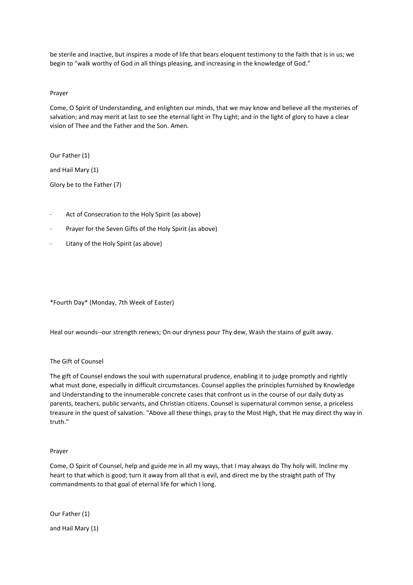be sterile and inactive, but inspires a mode of life that bears eloquent testimony to the faith that is in us; we begin to "walk worthy of God in all things pleasing, and increasing in the knowledge of God."

### Prayer

Come, O Spirit of Understanding, and enlighten our minds, that we may know and believe all the mysteries of salvation; and may merit at last to see the eternal light in Thy Light; and in the light of glory to have a clear vision of Thee and the Father and the Son. Amen.

Our Father (1)

and Hail Mary (1)

Glory be to the Father (7)

- · Act of Consecration to the Holy Spirit (as above)
- · Prayer for the Seven Gifts of the Holy Spirit (as above)
- · Litany of the Holy Spirit (as above)

\*Fourth Day\* (Monday, 7th Week of Easter)

Heal our wounds--our strength renews; On our dryness pour Thy dew, Wash the stains of guilt away.

## The Gift of Counsel

The gift of Counsel endows the soul with supernatural prudence, enabling it to judge promptly and rightly what must done, especially in difficult circumstances. Counsel applies the principles furnished by Knowledge and Understanding to the innumerable concrete cases that confront us in the course of our daily duty as parents, teachers, public servants, and Christian citizens. Counsel is supernatural common sense, a priceless treasure in the quest of salvation. "Above all these things, pray to the Most High, that He may direct thy way in truth."

### Prayer

Come, O Spirit of Counsel, help and guide me in all my ways, that I may always do Thy holy will. Incline my heart to that which is good; turn it away from all that is evil, and direct me by the straight path of Thy commandments to that goal of eternal life for which I long.

Our Father (1) and Hail Mary (1)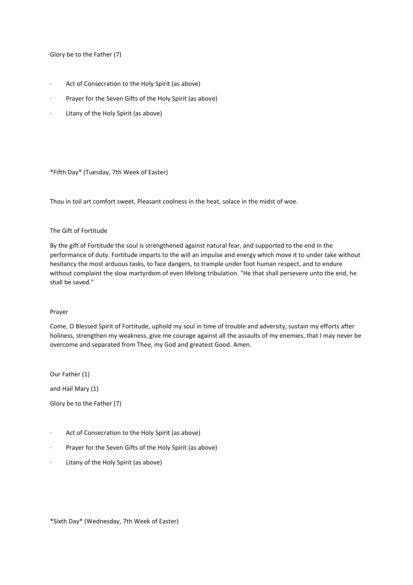## Glory be to the Father (7)

- · Act of Consecration to the Holy Spirit (as above)
- · Prayer for the Seven Gifts of the Holy Spirit (as above)
- · Litany of the Holy Spirit (as above)

\*Fifth Day\* (Tuesday, 7th Week of Easter)

Thou in toil art comfort sweet, Pleasant coolness in the heat, solace in the midst of woe.

## The Gift of Fortitude

By the gift of Fortitude the soul is strengthened against natural fear, and supported to the end in the performance of duty. Fortitude imparts to the will an impulse and energy which move it to under take without hesitancy the most arduous tasks, to face dangers, to trample under foot human respect, and to endure without complaint the slow martyrdom of even lifelong tribulation. "He that shall persevere unto the end, he shall be saved."

#### Prayer

Come, O Blessed Spirit of Fortitude, uphold my soul in time of trouble and adversity, sustain my efforts after holiness, strengthen my weakness, give me courage against all the assaults of my enemies, that I may never be overcome and separated from Thee, my God and greatest Good. Amen.

Our Father (1)

and Hail Mary (1)

Glory be to the Father (7)

- · Act of Consecration to the Holy Spirit (as above)
- · Prayer for the Seven Gifts of the Holy Spirit (as above)
- · Litany of the Holy Spirit (as above)

\*Sixth Day\* (Wednesday, 7th Week of Easter)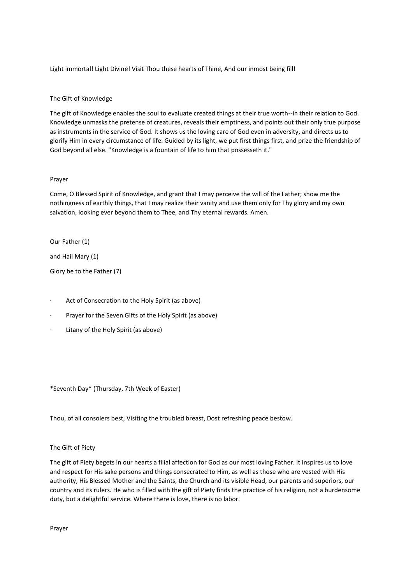Light immortal! Light Divine! Visit Thou these hearts of Thine, And our inmost being fill!

## The Gift of Knowledge

The gift of Knowledge enables the soul to evaluate created things at their true worth--in their relation to God. Knowledge unmasks the pretense of creatures, reveals their emptiness, and points out their only true purpose as instruments in the service of God. It shows us the loving care of God even in adversity, and directs us to glorify Him in every circumstance of life. Guided by its light, we put first things first, and prize the friendship of God beyond all else. "Knowledge is a fountain of life to him that possesseth it."

### Prayer

Come, O Blessed Spirit of Knowledge, and grant that I may perceive the will of the Father; show me the nothingness of earthly things, that I may realize their vanity and use them only for Thy glory and my own salvation, looking ever beyond them to Thee, and Thy eternal rewards. Amen.

### Our Father (1)

and Hail Mary (1)

Glory be to the Father (7)

- Act of Consecration to the Holy Spirit (as above)
- Prayer for the Seven Gifts of the Holy Spirit (as above)
- Litany of the Holy Spirit (as above)

\*Seventh Day\* (Thursday, 7th Week of Easter)

Thou, of all consolers best, Visiting the troubled breast, Dost refreshing peace bestow.

## The Gift of Piety

The gift of Piety begets in our hearts a filial affection for God as our most loving Father. It inspires us to love and respect for His sake persons and things consecrated to Him, as well as those who are vested with His authority, His Blessed Mother and the Saints, the Church and its visible Head, our parents and superiors, our country and its rulers. He who is filled with the gift of Piety finds the practice of his religion, not a burdensome duty, but a delightful service. Where there is love, there is no labor.

Prayer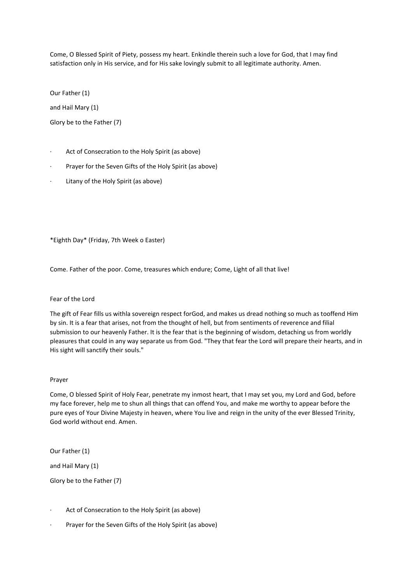Come, O Blessed Spirit of Piety, possess my heart. Enkindle therein such a love for God, that I may find satisfaction only in His service, and for His sake lovingly submit to all legitimate authority. Amen.

Our Father (1)

and Hail Mary (1)

Glory be to the Father (7)

- · Act of Consecration to the Holy Spirit (as above)
- Prayer for the Seven Gifts of the Holy Spirit (as above)
- · Litany of the Holy Spirit (as above)

\*Eighth Day\* (Friday, 7th Week o Easter)

Come. Father of the poor. Come, treasures which endure; Come, Light of all that live!

### Fear of the Lord

The gift of Fear fills us withla sovereign respect forGod, and makes us dread nothing so much as tooffend Him by sin. It is a fear that arises, not from the thought of hell, but from sentiments of reverence and filial submission to our heavenly Father. It is the fear that is the beginning of wisdom, detaching us from worldly pleasures that could in any way separate us from God. "They that fear the Lord will prepare their hearts, and in His sight will sanctify their souls."

### Prayer

Come, O blessed Spirit of Holy Fear, penetrate my inmost heart, that I may set you, my Lord and God, before my face forever, help me to shun all things that can offend You, and make me worthy to appear before the pure eyes of Your Divine Majesty in heaven, where You live and reign in the unity of the ever Blessed Trinity, God world without end. Amen.

Our Father (1)

and Hail Mary (1)

Glory be to the Father (7)

- · Act of Consecration to the Holy Spirit (as above)
- Prayer for the Seven Gifts of the Holy Spirit (as above)